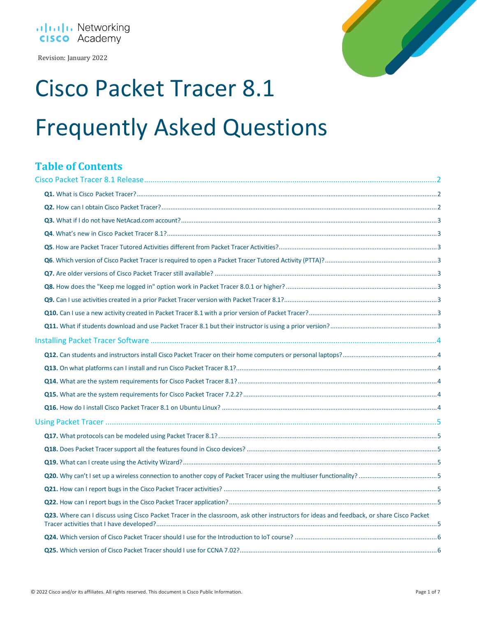

Revision: January 2022



# Cisco Packet Tracer 8.1 Frequently Asked Questions

# **Table of Contents**

| Q23. Where can I discuss using Cisco Packet Tracer in the classroom, ask other instructors for ideas and feedback, or share Cisco Packet |  |
|------------------------------------------------------------------------------------------------------------------------------------------|--|
|                                                                                                                                          |  |
|                                                                                                                                          |  |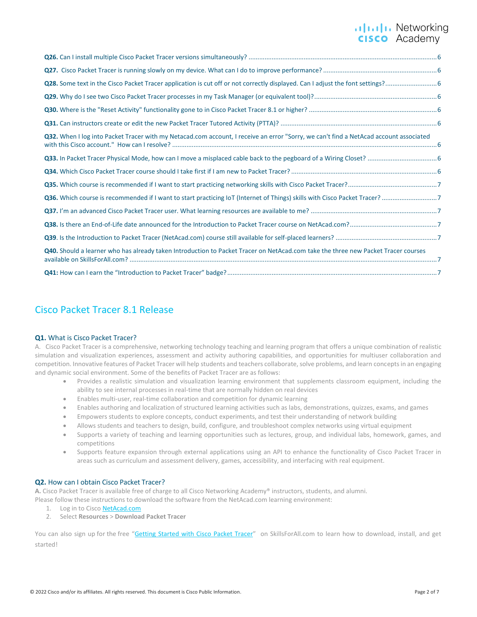# ululu Networking<br> **CISCO** Academy

| Q32. When I log into Packet Tracer with my Netacad.com account, I receive an error "Sorry, we can't find a NetAcad account associated |
|---------------------------------------------------------------------------------------------------------------------------------------|
|                                                                                                                                       |
|                                                                                                                                       |
|                                                                                                                                       |
|                                                                                                                                       |
|                                                                                                                                       |
|                                                                                                                                       |
|                                                                                                                                       |
| Q40. Should a learner who has already taken Introduction to Packet Tracer on NetAcad.com take the three new Packet Tracer courses     |
|                                                                                                                                       |

# <span id="page-1-0"></span>Cisco Packet Tracer 8.1 Release

#### <span id="page-1-1"></span>**Q1.** What is Cisco Packet Tracer?

A. Cisco Packet Tracer is a comprehensive, networking technology teaching and learning program that offers a unique combination of realistic simulation and visualization experiences, assessment and activity authoring capabilities, and opportunities for multiuser collaboration and competition. Innovative features of Packet Tracer will help students and teachers collaborate, solve problems, and learn concepts in an engaging and dynamic social environment. Some of the benefits of Packet Tracer are as follows:

- Provides a realistic simulation and visualization learning environment that supplements classroom equipment, including the ability to see internal processes in real-time that are normally hidden on real devices
- Enables multi-user, real-time collaboration and competition for dynamic learning
- Enables authoring and localization of structured learning activities such as labs, demonstrations, quizzes, exams, and games
- Empowers students to explore concepts, conduct experiments, and test their understanding of network building
- Allows students and teachers to design, build, configure, and troubleshoot complex networks using virtual equipment
- Supports a variety of teaching and learning opportunities such as lectures, group, and individual labs, homework, games, and competitions
- Supports feature expansion through external applications using an API to enhance the functionality of Cisco Packet Tracer in areas such as curriculum and assessment delivery, games, accessibility, and interfacing with real equipment.

#### <span id="page-1-2"></span>**Q2.** How can I obtain Cisco Packet Tracer?

**A.** Cisco Packet Tracer is available free of charge to all Cisco Networking Academy® instructors, students, and alumni. Please follow these instructions to download the software from the NetAcad.com learning environment:

- 1. Log in to Cisc[o NetAcad.com](http://www.netacad.com/)
- 2. Select **Resources** > **Download Packet Tracer**

You can also sign up for the free "[Getting Started with Cisco Packet Tracer](https://skillsforall.com/course/getting-started-cisco-packet-tracer)" on SkillsForAll.com to learn how to download, install, and get started!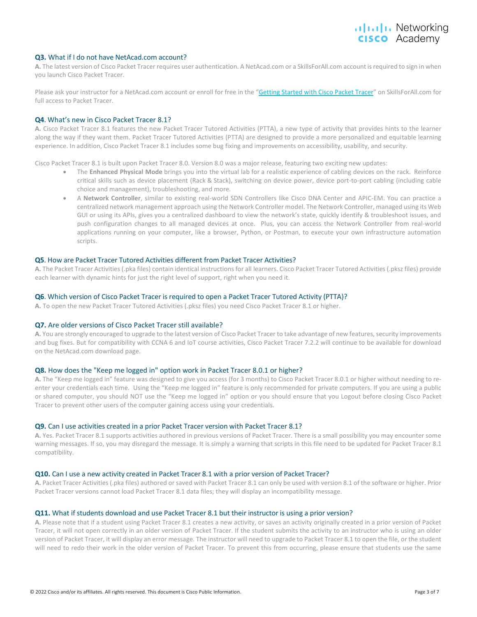# alulu Networking cisco Academy

#### <span id="page-2-0"></span>**Q3.** What if I do not have NetAcad.com account?

**A.** The latest version of Cisco Packet Tracer requires user authentication. A NetAcad.com or a SkillsForAll.com account is required to sign in when you launch Cisco Packet Tracer.

Please ask your instructor for a NetAcad.com account or enroll for free in the "[Getting Started with Cisco Packet Tracer](https://skillsforall.com/course/getting-started-cisco-packet-tracer)" on SkillsForAll.com for full access to Packet Tracer.

#### <span id="page-2-1"></span>**Q4**. What's new in Cisco Packet Tracer 8.1?

**A.** Cisco Packet Tracer 8.1 features the new Packet Tracer Tutored Activities (PTTA), a new type of activity that provides hints to the learner along the way if they want them. Packet Tracer Tutored Activities (PTTA) are designed to provide a more personalized and equitable learning experience. In addition, Cisco Packet Tracer 8.1 includes some bug fixing and improvements on accessibility, usability, and security.

Cisco Packet Tracer 8.1 is built upon Packet Tracer 8.0. Version 8.0 was a major release, featuring two exciting new updates:

- The **Enhanced Physical Mode** brings you into the virtual lab for a realistic experience of cabling devices on the rack. Reinforce critical skills such as device placement (Rack & Stack), switching on device power, device port-to-port cabling (including cable choice and management), troubleshooting, and more.
- A **Network Controller**, similar to existing real-world SDN Controllers like Cisco DNA Center and APIC-EM. You can practice a centralized network management approach using the Network Controller model. The Network Controller, managed using its Web GUI or using its APIs, gives you a centralized dashboard to view the network's state, quickly identify & troubleshoot issues, and push configuration changes to all managed devices at once. Plus, you can access the Network Controller from real-world applications running on your computer, like a browser, Python, or Postman, to execute your own infrastructure automation scripts.

#### <span id="page-2-2"></span>**Q5**. How are Packet Tracer Tutored Activities different from Packet Tracer Activities?

**A.** The Packet Tracer Activities (.pka files) contain identical instructions for all learners. Cisco Packet Tracer Tutored Activities (.pksz files) provide each learner with dynamic hints for just the right level of support, right when you need it.

#### <span id="page-2-3"></span>**Q6**. Which version of Cisco Packet Tracer is required to open a Packet Tracer Tutored Activity (PTTA)?

**A.** To open the new Packet Tracer Tutored Activities (.pksz files) you need Cisco Packet Tracer 8.1 or higher.

#### <span id="page-2-4"></span>**Q7.** Are older versions of Cisco Packet Tracer still available?

A. You are strongly encouraged to upgrade to the latest version of Cisco Packet Tracer to take advantage of new features, security improvements and bug fixes. But for compatibility with CCNA 6 and IoT course activities, Cisco Packet Tracer 7.2.2 will continue to be available for download on the NetAcad.com download page.

#### <span id="page-2-5"></span>**Q8.** How does the "Keep me logged in" option work in Packet Tracer 8.0.1 or higher?

**A.** The "Keep me logged in" feature was designed to give you access (for 3 months) to Cisco Packet Tracer 8.0.1 or higher without needing to reenter your credentials each time. Using the "Keep me logged in" feature is only recommended for private computers. If you are using a public or shared computer, you should NOT use the "Keep me logged in" option or you should ensure that you Logout before closing Cisco Packet Tracer to prevent other users of the computer gaining access using your credentials.

#### <span id="page-2-6"></span>**Q9.** Can I use activities created in a prior Packet Tracer version with Packet Tracer 8.1?

**A.** Yes. Packet Tracer 8.1 supports activities authored in previous versions of Packet Tracer. There is a small possibility you may encounter some warning messages. If so, you may disregard the message. It is simply a warning that scripts in this file need to be updated for Packet Tracer 8.1 compatibility.

#### <span id="page-2-7"></span>**Q10.** Can I use a new activity created in Packet Tracer 8.1 with a prior version of Packet Tracer?

**A.** Packet Tracer Activities (.pka files) authored or saved with Packet Tracer 8.1 can only be used with version 8.1 of the software or higher. Prior Packet Tracer versions cannot load Packet Tracer 8.1 data files; they will display an incompatibility message.

#### <span id="page-2-8"></span>**Q11.** What if students download and use Packet Tracer 8.1 but their instructor is using a prior version?

**A.** Please note that if a student using Packet Tracer 8.1 creates a new activity, or saves an activity originally created in a prior version of Packet Tracer, it will not open correctly in an older version of Packet Tracer. If the student submits the activity to an instructor who is using an older version of Packet Tracer, it will display an error message. The instructor will need to upgrade to Packet Tracer 8.1 to open the file, or the student will need to redo their work in the older version of Packet Tracer. To prevent this from occurring, please ensure that students use the same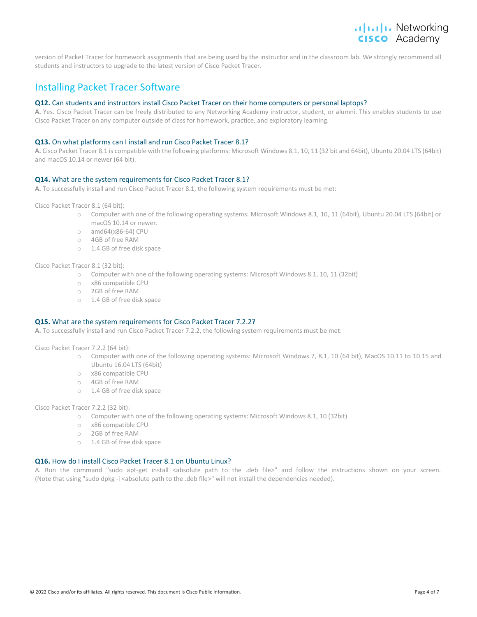### .**Ili.Ili.** Networking **CISCO** Academy

version of Packet Tracer for homework assignments that are being used by the instructor and in the classroom lab. We strongly recommend all students and instructors to upgrade to the latest version of Cisco Packet Tracer.

# <span id="page-3-0"></span>Installing Packet Tracer Software

#### <span id="page-3-1"></span>**Q12.** Can students and instructors install Cisco Packet Tracer on their home computers or personal laptops?

**A.** Yes. Cisco Packet Tracer can be freely distributed to any Networking Academy instructor, student, or alumni. This enables students to use Cisco Packet Tracer on any computer outside of class for homework, practice, and exploratory learning.

#### <span id="page-3-2"></span>**Q13.** On what platforms can I install and run Cisco Packet Tracer 8.1?

**A.** Cisco Packet Tracer 8.1 is compatible with the following platforms: Microsoft Windows 8.1, 10, 11 (32 bit and 64bit), Ubuntu 20.04 LTS (64bit) and macOS 10.14 or newer (64 bit).

#### <span id="page-3-3"></span>**Q14.** What are the system requirements for Cisco Packet Tracer 8.1?

**A.** To successfully install and run Cisco Packet Tracer 8.1, the following system requirements must be met:

Cisco Packet Tracer 8.1 (64 bit):

- o Computer with one of the following operating systems: Microsoft Windows 8.1, 10, 11 (64bit), Ubuntu 20.04 LTS (64bit) or macOS 10.14 or newer.
- o amd64(x86-64) CPU
- o 4GB of free RAM
- o 1.4 GB of free disk space

Cisco Packet Tracer 8.1 (32 bit):

- o Computer with one of the following operating systems: Microsoft Windows 8.1, 10, 11 (32bit)
- o x86 compatible CPU
- o 2GB of free RAM
- o 1.4 GB of free disk space

#### <span id="page-3-4"></span>**Q15.** What are the system requirements for Cisco Packet Tracer 7.2.2?

**A.** To successfully install and run Cisco Packet Tracer 7.2.2, the following system requirements must be met:

Cisco Packet Tracer 7.2.2 (64 bit):

- o Computer with one of the following operating systems: Microsoft Windows 7, 8.1, 10 (64 bit), MacOS 10.11 to 10.15 and Ubuntu 16.04 LTS (64bit)
- o x86 compatible CPU
- o 4GB of free RAM
- o 1.4 GB of free disk space

Cisco Packet Tracer 7.2.2 (32 bit):

- o Computer with one of the following operating systems: Microsoft Windows 8.1, 10 (32bit)
- o x86 compatible CPU
- o 2GB of free RAM
- o 1.4 GB of free disk space

#### <span id="page-3-5"></span>**Q16.** How do I install Cisco Packet Tracer 8.1 on Ubuntu Linux?

A. Run the command "sudo apt-get install <absolute path to the .deb file>" and follow the instructions shown on your screen. (Note that using "sudo dpkg -i <absolute path to the .deb file>" will not install the dependencies needed).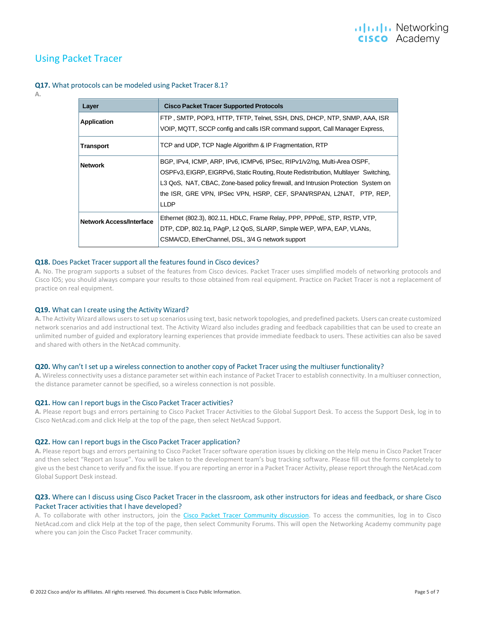# <span id="page-4-0"></span>Using Packet Tracer

<span id="page-4-1"></span>**Q17.** What protocols can be modeled using Packet Tracer 8.1?

#### **A.**

| Layer                           | <b>Cisco Packet Tracer Supported Protocols</b>                                      |
|---------------------------------|-------------------------------------------------------------------------------------|
| <b>Application</b>              | FTP, SMTP, POP3, HTTP, TFTP, Telnet, SSH, DNS, DHCP, NTP, SNMP, AAA, ISR            |
|                                 | VOIP, MQTT, SCCP config and calls ISR command support, Call Manager Express,        |
| <b>Transport</b>                | TCP and UDP, TCP Nagle Algorithm & IP Fragmentation, RTP                            |
| <b>Network</b>                  | BGP, IPv4, ICMP, ARP, IPv6, ICMPv6, IPSec, RIPv1/v2/ng, Multi-Area OSPF,            |
|                                 | OSPFv3, EIGRP, EIGRPv6, Static Routing, Route Redistribution, Multilayer Switching, |
|                                 | L3 QoS, NAT, CBAC, Zone-based policy firewall, and Intrusion Protection System on   |
|                                 | the ISR, GRE VPN, IPSec VPN, HSRP, CEF, SPAN/RSPAN, L2NAT, PTP, REP,                |
|                                 | <b>LLDP</b>                                                                         |
| <b>Network Access/Interface</b> | Ethernet (802.3), 802.11, HDLC, Frame Relay, PPP, PPPoE, STP, RSTP, VTP,            |
|                                 | DTP, CDP, 802.1q, PAqP, L2 QoS, SLARP, Simple WEP, WPA, EAP, VLANs,                 |
|                                 | CSMA/CD, EtherChannel, DSL, 3/4 G network support                                   |

#### <span id="page-4-2"></span>**Q18.** Does Packet Tracer support all the features found in Cisco devices?

**A.** No. The program supports a subset of the features from Cisco devices. Packet Tracer uses simplified models of networking protocols and Cisco IOS; you should always compare your results to those obtained from real equipment. Practice on Packet Tracer is not a replacement of practice on real equipment.

#### <span id="page-4-3"></span>**Q19.** What can I create using the Activity Wizard?

**A.** The Activity Wizard allows users to set up scenarios using text, basic network topologies, and predefined packets. Users can create customized network scenarios and add instructional text. The Activity Wizard also includes grading and feedback capabilities that can be used to create an unlimited number of guided and exploratory learning experiences that provide immediate feedback to users. These activities can also be saved and shared with others in the NetAcad community.

#### <span id="page-4-4"></span>**Q20.** Why can't I set up a wireless connection to another copy of Packet Tracer using the multiuser functionality?

**A.** Wireless connectivity uses a distance parameter set within each instance of Packet Tracer to establish connectivity. In a multiuser connection, the distance parameter cannot be specified, so a wireless connection is not possible.

#### <span id="page-4-5"></span>**Q21.** How can I report bugs in the Cisco Packet Tracer activities?

**A.** Please report bugs and errors pertaining to Cisco Packet Tracer Activities to the Global Support Desk. To access the Support Desk, log in to Cisco NetAcad.com and click Help at the top of the page, then select NetAcad Support.

#### <span id="page-4-6"></span>**Q22.** How can I report bugs in the Cisco Packet Tracer application?

**A.** Please report bugs and errors pertaining to Cisco Packet Tracer software operation issues by clicking on the Help menu in Cisco Packet Tracer and then select "Report an Issue". You will be taken to the development team's bug tracking software. Please fill out the forms completely to give us the best chance to verify and fix the issue. If you are reporting an error in a Packet Tracer Activity, please report through the NetAcad.com Global Support Desk instead.

#### <span id="page-4-7"></span>**Q23.** Where can I discuss using Cisco Packet Tracer in the classroom, ask other instructors for ideas and feedback, or share Cisco Packet Tracer activities that I have developed?

A. To collaborate with other instructors, join the [Cisco Packet Tracer Community discussion.](https://community.cisco.com/t5/networking-academy/ct-p/netacad) To access the communities, log in to Cisco NetAcad.com and click Help at the top of the page, then select Community Forums. This will open the Networking Academy community page where you can join the Cisco Packet Tracer community.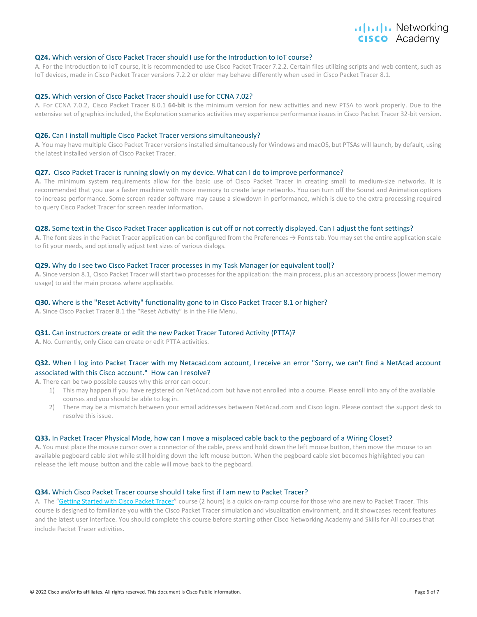# alulu Networking cisco Academy

#### <span id="page-5-0"></span>**Q24.** Which version of Cisco Packet Tracer should I use for the Introduction to IoT course?

A. For the Introduction to IoT course, it is recommended to use Cisco Packet Tracer 7.2.2. Certain files utilizing scripts and web content, such as IoT devices, made in Cisco Packet Tracer versions 7.2.2 or older may behave differently when used in Cisco Packet Tracer 8.1.

#### <span id="page-5-1"></span>**Q25.** Which version of Cisco Packet Tracer should I use for CCNA 7.02?

A. For CCNA 7.0.2, Cisco Packet Tracer 8.0.1 **64-bit** is the minimum version for new activities and new PTSA to work properly. Due to the extensive set of graphics included, the Exploration scenarios activities may experience performance issues in Cisco Packet Tracer 32-bit version.

#### <span id="page-5-2"></span>**Q26.** Can I install multiple Cisco Packet Tracer versions simultaneously?

A. You may have multiple Cisco Packet Tracer versions installed simultaneously for Windows and macOS, but PTSAs will launch, by default, using the latest installed version of Cisco Packet Tracer.

#### <span id="page-5-3"></span>**Q27.** Cisco Packet Tracer is running slowly on my device. What can I do to improve performance?

**A.** The minimum system requirements allow for the basic use of Cisco Packet Tracer in creating small to medium-size networks. It is recommended that you use a faster machine with more memory to create large networks. You can turn off the Sound and Animation options to increase performance. Some screen reader software may cause a slowdown in performance, which is due to the extra processing required to query Cisco Packet Tracer for screen reader information.

#### <span id="page-5-4"></span>**Q28.** Some text in the Cisco Packet Tracer application is cut off or not correctly displayed. Can I adjust the font settings?

**A.** The font sizes in the Packet Tracer application can be configured from the Preferences → Fonts tab. You may set the entire application scale to fit your needs, and optionally adjust text sizes of various dialogs.

#### <span id="page-5-5"></span>**Q29.** Why do I see two Cisco Packet Tracer processes in my Task Manager (or equivalent tool)?

**A.** Since version 8.1, Cisco Packet Tracer will start two processes for the application: the main process, plus an accessory process (lower memory usage) to aid the main process where applicable.

#### <span id="page-5-6"></span>**Q30.** Where is the "Reset Activity" functionality gone to in Cisco Packet Tracer 8.1 or higher?

**A.** Since Cisco Packet Tracer 8.1 the "Reset Activity" is in the File Menu.

#### <span id="page-5-7"></span>**Q31.** Can instructors create or edit the new Packet Tracer Tutored Activity (PTTA)?

**A.** No. Currently, only Cisco can create or edit PTTA activities.

#### <span id="page-5-8"></span>**Q32.** When I log into Packet Tracer with my Netacad.com account, I receive an error "Sorry, we can't find a NetAcad account associated with this Cisco account." How can I resolve?

**A.** There can be two possible causes why this error can occur:

- 1) This may happen if you have registered on NetAcad.com but have not enrolled into a course. Please enroll into any of the available courses and you should be able to log in.
- 2) There may be a mismatch between your email addresses between NetAcad.com and Cisco login. Please contact the support desk to resolve this issue.

#### <span id="page-5-9"></span>**Q33.** In Packet Tracer Physical Mode, how can I move a misplaced cable back to the pegboard of a Wiring Closet?

**A.** You must place the mouse cursor over a connector of the cable, press and hold down the left mouse button, then move the mouse to an available pegboard cable slot while still holding down the left mouse button. When the pegboard cable slot becomes highlighted you can release the left mouse button and the cable will move back to the pegboard.

#### <span id="page-5-10"></span>**Q34.** Which Cisco Packet Tracer course should I take first if I am new to Packet Tracer?

A. The "[Getting Started with Cisco Packet Tracer](https://skillsforall.com/course/getting-started-cisco-packet-tracer)" course (2 hours) is a quick on-ramp course for those who are new to Packet Tracer. This course is designed to familiarize you with the Cisco Packet Tracer simulation and visualization environment, and it showcases recent features and the latest user interface. You should complete this course before starting other Cisco Networking Academy and Skills for All courses that include Packet Tracer activities.